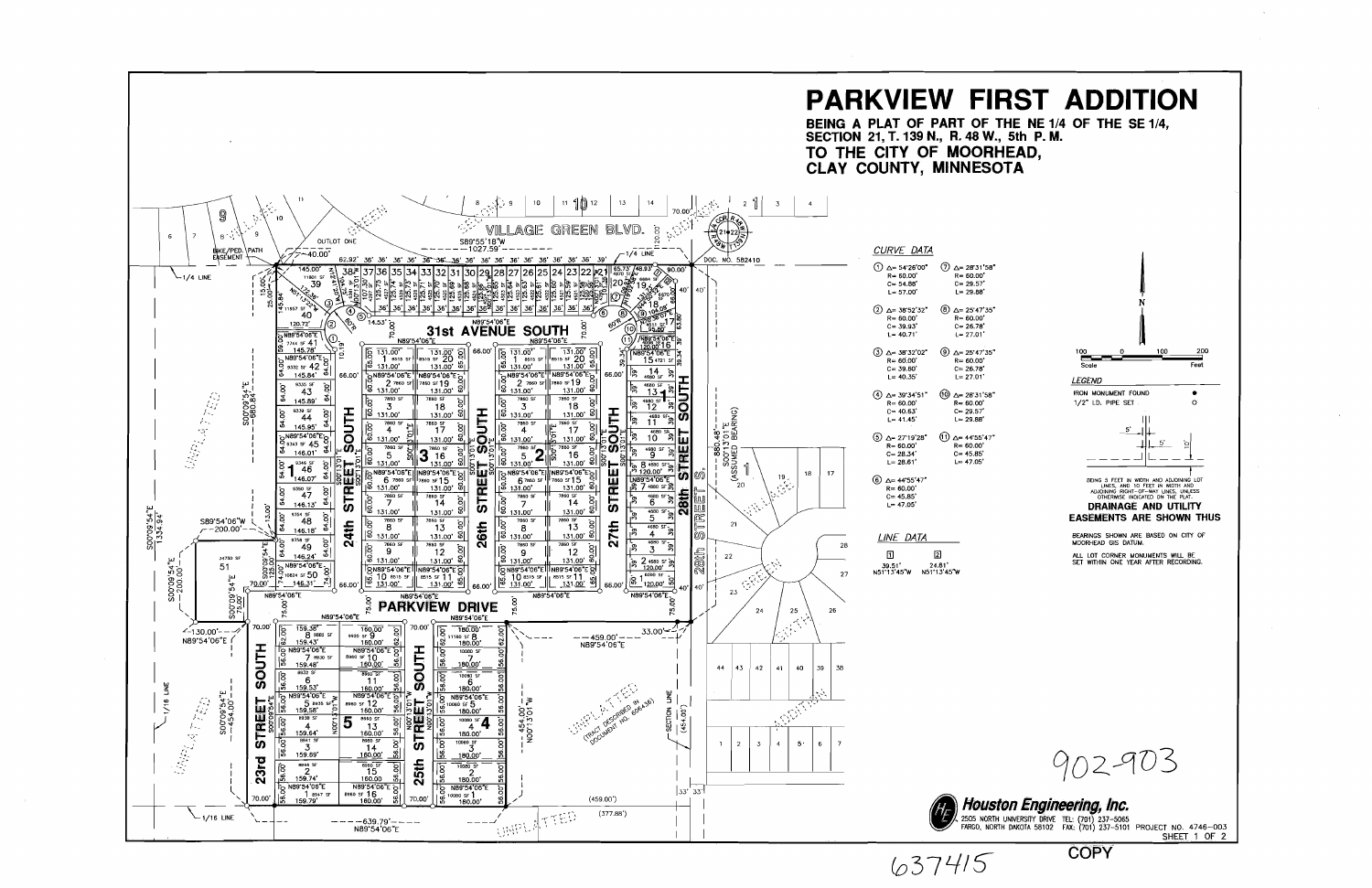

 $637415$ 

**COPY**